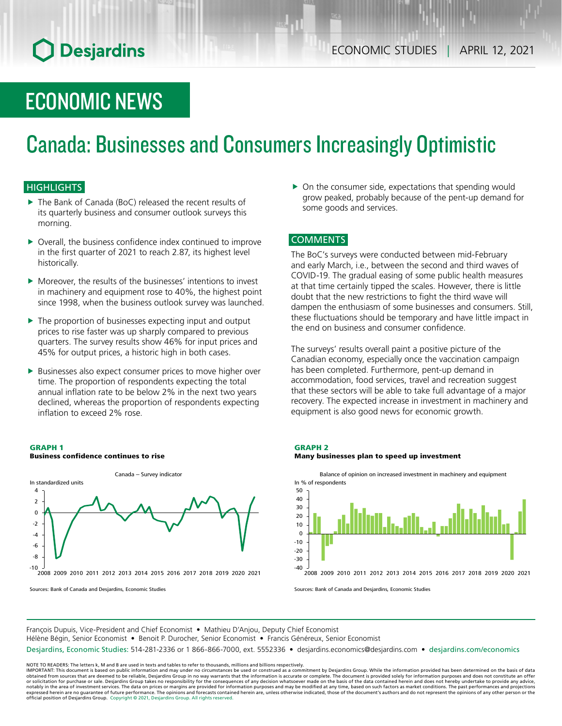# **O** Desjardins

## ECONOMIC NEWS

# Canada: Businesses and Consumers Increasingly Optimistic

## **HIGHLIGHTS**

- The Bank of Canada (BoC) released the recent results of its quarterly business and consumer outlook surveys this morning.
- $\triangleright$  Overall, the business confidence index continued to improve in the first quarter of 2021 to reach 2.87, its highest level historically.
- $\blacktriangleright$  Moreover, the results of the businesses' intentions to invest in machinery and equipment rose to 40%, the highest point since 1998, when the business outlook survey was launched.
- $\blacktriangleright$  The proportion of businesses expecting input and output prices to rise faster was up sharply compared to previous quarters. The survey results show 46% for input prices and 45% for output prices, a historic high in both cases.
- $\blacktriangleright$  Businesses also expect consumer prices to move higher over time. The proportion of respondents expecting the total annual inflation rate to be below 2% in the next two years declined, whereas the proportion of respondents expecting inflation to exceed 2% rose.

#### GRAPH 1 Business confidence continues to rise



Sources: Bank of Canada and Desjardins, Economic Studies

 $\triangleright$  On the consumer side, expectations that spending would grow peaked, probably because of the pent-up demand for some goods and services.

### COMMENTS

The BoC's surveys were conducted between mid-February and early March, i.e., between the second and third waves of COVID-19. The gradual easing of some public health measures at that time certainly tipped the scales. However, there is little doubt that the new restrictions to fight the third wave will dampen the enthusiasm of some businesses and consumers. Still, these fluctuations should be temporary and have little impact in the end on business and consumer confidence.

The surveys' results overall paint a positive picture of the Canadian economy, especially once the vaccination campaign has been completed. Furthermore, pent-up demand in accommodation, food services, travel and recreation suggest that these sectors will be able to take full advantage of a major recovery. The expected increase in investment in machinery and equipment is also good news for economic growth.



Many businesses plan to speed up investment



Sources: Bank of Canada and Desjardins, Economic Studies

François Dupuis, Vice-President and Chief Economist • Mathieu D'Anjou, Deputy Chief Economist Hélène Bégin, Senior Economist • Benoit P. Durocher, Senior Economist • Francis Généreux, Senior Economist

Desjardins, Economic Studies: 514-281-2336 or 1 866-866-7000, ext. 5552336 • desjardins.economics@desjardins.com • [desjardins.com/economics](http://desjardins.com/economics)

NOTE TO READERS: The letters k, M and B are used in texts and tables to refer to thousands, millions and billions respectively.<br>IMPORTANT: This document is based on public information and may under no circumstances be used obtained from sources that are deemed to be reliable, Desjardins Group in no way warrants that the information is accurate or complete. The document is provided solely for information purposes and does not constitute an of expressed herein are no guarantee of future performance. The opinions and forecasts contained herein are, unless otherwise indicated, those of the document's authors and do not represent the opinions of any other person or official position of Desjardins Group. Copyright © 2021, Desjardins Group. All rights reserved.